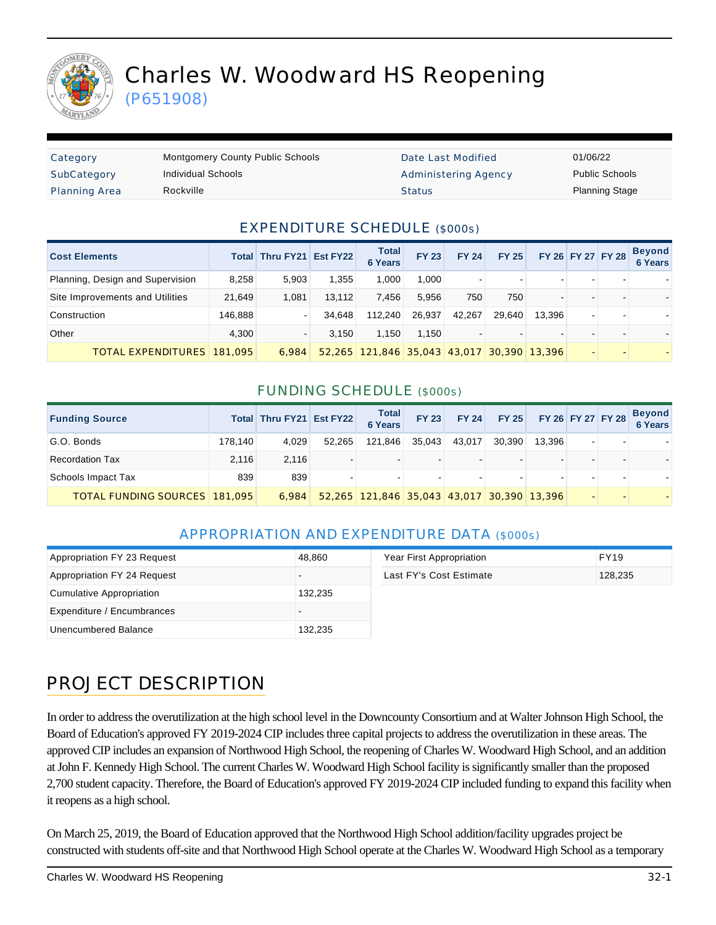

# Charles W. Woodward HS Reopening

(P651908)

| Category             | <b>Montgomery County Public Schools</b> | Date Last Modified          | 01/06/22              |
|----------------------|-----------------------------------------|-----------------------------|-----------------------|
| SubCategory          | Individual Schools                      | <b>Administering Agency</b> | <b>Public Schools</b> |
| <b>Planning Area</b> | Rockville                               | <b>Status</b>               | <b>Planning Stage</b> |

### EXPENDITURE SCHEDULE (\$000s)

| <b>Cost Elements</b>             |         | Total Thru FY21 Est FY22 |        | <b>Total</b><br><b>6 Years</b>             | <b>FY 23</b> | <b>FY 24</b> | <b>FY 25</b> |        | FY 26 FY 27 FY 28 | <b>Beyond</b><br>6 Years |
|----------------------------------|---------|--------------------------|--------|--------------------------------------------|--------------|--------------|--------------|--------|-------------------|--------------------------|
| Planning, Design and Supervision | 8.258   | 5.903                    | 1.355  | 1.000                                      | 1.000        |              |              |        |                   |                          |
| Site Improvements and Utilities  | 21.649  | 1.081                    | 13.112 | 7.456                                      | 5.956        | 750          | 750          |        |                   |                          |
| Construction                     | 146,888 |                          | 34.648 | 112.240                                    | 26.937       | 42.267       | 29.640       | 13.396 |                   |                          |
| Other                            | 4.300   |                          | 3.150  | 1.150                                      | 1.150        |              |              |        |                   |                          |
| TOTAL EXPENDITURES   181,095     |         | 6.984                    |        | 52,265 121,846 35,043 43,017 30,390 13,396 |              |              |              |        |                   |                          |

#### FUNDING SCHEDULE (\$000s)

| <b>Funding Source</b>                |         | Total Thru FY21 Est FY22 |                | Total<br>6 Years                           | <b>FY 23</b> | <b>FY 24</b> |        | FY 25 FY 26 FY 27 FY 28 |  | <b>Beyond</b><br>6 Years |
|--------------------------------------|---------|--------------------------|----------------|--------------------------------------------|--------------|--------------|--------|-------------------------|--|--------------------------|
| G.O. Bonds                           | 178.140 | 4,029                    | 52.265         | 121,846                                    | 35,043       | 43.017       | 30.390 | 13.396                  |  |                          |
| <b>Recordation Tax</b>               | 2.116   | 2.116                    | $\blacksquare$ |                                            |              |              |        |                         |  |                          |
| Schools Impact Tax                   | 839     | 839                      |                | -                                          |              |              |        |                         |  |                          |
| <b>TOTAL FUNDING SOURCES 181,095</b> |         | 6.984                    |                | 52,265 121,846 35,043 43,017 30,390 13,396 |              |              |        |                         |  |                          |

#### APPROPRIATION AND EXPENDITURE DATA (\$000s)

| Appropriation FY 23 Request | 48,860  | Year First Appropriation | <b>FY19</b> |  |
|-----------------------------|---------|--------------------------|-------------|--|
| Appropriation FY 24 Request |         | Last FY's Cost Estimate  | 128,235     |  |
| Cumulative Appropriation    | 132,235 |                          |             |  |
| Expenditure / Encumbrances  |         |                          |             |  |
| Unencumbered Balance        | 132,235 |                          |             |  |

## PROJECT DESCRIPTION

In order to address the overutilization at the high school level in the Downcounty Consortium and at Walter Johnson High School, the Board of Education's approved FY 2019-2024 CIP includes three capital projects to address the overutilization in these areas. The approved CIP includes an expansion of Northwood High School, the reopening of Charles W. Woodward High School, and an addition at John F. Kennedy High School. The current Charles W. Woodward High School facility is significantly smaller than the proposed 2,700 student capacity. Therefore, the Board of Education's approved FY 2019-2024 CIP included funding to expand this facility when it reopens as a high school.

On March 25, 2019, the Board of Education approved that the Northwood High School addition/facility upgrades project be constructed with students off-site and that Northwood High School operate at the Charles W. Woodward High School as a temporary